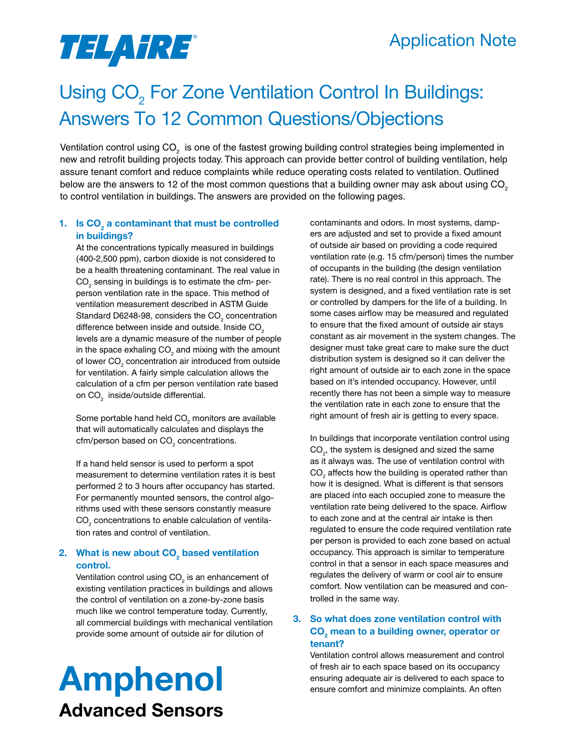## *TELAHRE*®

## Application Note

## Using CO<sub>2</sub> For Zone Ventilation Control In Buildings: Answers To 12 Common Questions/Objections

Ventilation control using CO<sub>2</sub> is one of the fastest growing building control strategies being implemented in new and retrofit building projects today. This approach can provide better control of building ventilation, help assure tenant comfort and reduce complaints while reduce operating costs related to ventilation. Outlined below are the answers to 12 of the most common questions that a building owner may ask about using CO<sub>2</sub> to control ventilation in buildings. The answers are provided on the following pages.

#### **1. Is CO<sub>2</sub>** a contaminant that must be controlled **in buildings?**

At the concentrations typically measured in buildings (400-2,500 ppm), carbon dioxide is not considered to be a health threatening contaminant. The real value in  $\mathsf{CO}_2$  sensing in buildings is to estimate the cfm- perperson ventilation rate in the space. This method of ventilation measurement described in ASTM Guide Standard D6248-98, considers the CO<sub>2</sub> concentration difference between inside and outside. Inside CO<sub>2</sub> levels are a dynamic measure of the number of people in the space exhaling CO<sub>2</sub> and mixing with the amount of lower CO<sub>2</sub> concentration air introduced from outside for ventilation. A fairly simple calculation allows the calculation of a cfm per person ventilation rate based on CO $_{\rm_2}$  inside/outside differential.

Some portable hand held CO $_{_2}$  monitors are available that will automatically calculates and displays the cfm/person based on CO $_{\textrm{\tiny{2}}}$  concentrations.

If a hand held sensor is used to perform a spot measurement to determine ventilation rates it is best performed 2 to 3 hours after occupancy has started. For permanently mounted sensors, the control algorithms used with these sensors constantly measure CO $_{\tiny 2}$  concentrations to enable calculation of ventilation rates and control of ventilation.

#### 2. What is new about CO<sub>2</sub> based ventilation **control.**

Ventilation control using CO $_{_2}$  is an enhancement of existing ventilation practices in buildings and allows the control of ventilation on a zone-by-zone basis much like we control temperature today. Currently, all commercial buildings with mechanical ventilation provide some amount of outside air for dilution of

# Advanced Sensors

contaminants and odors. In most systems, dampers are adjusted and set to provide a fixed amount of outside air based on providing a code required ventilation rate (e.g. 15 cfm/person) times the number of occupants in the building (the design ventilation rate). There is no real control in this approach. The system is designed, and a fixed ventilation rate is set or controlled by dampers for the life of a building. In some cases airflow may be measured and regulated to ensure that the fixed amount of outside air stays constant as air movement in the system changes. The designer must take great care to make sure the duct distribution system is designed so it can deliver the right amount of outside air to each zone in the space based on it's intended occupancy. However, until recently there has not been a simple way to measure the ventilation rate in each zone to ensure that the right amount of fresh air is getting to every space.

In buildings that incorporate ventilation control using CO $_{\textrm{\tiny{\it 2}}}$ , the system is designed and sized the same as it always was. The use of ventilation control with CO $_{\tiny 2}$  affects how the building is operated rather than how it is designed. What is different is that sensors are placed into each occupied zone to measure the ventilation rate being delivered to the space. Airflow to each zone and at the central air intake is then regulated to ensure the code required ventilation rate per person is provided to each zone based on actual occupancy. This approach is similar to temperature control in that a sensor in each space measures and regulates the delivery of warm or cool air to ensure comfort. Now ventilation can be measured and controlled in the same way.

#### **3. So what does zone ventilation control with CO<sub>2</sub>** mean to a building owner, operator or **tenant?**

Ventilation control allows measurement and control of fresh air to each space based on its occupancy ensuring adequate air is delivered to each space to Amphenol ensure comfort and minimize complaints. An often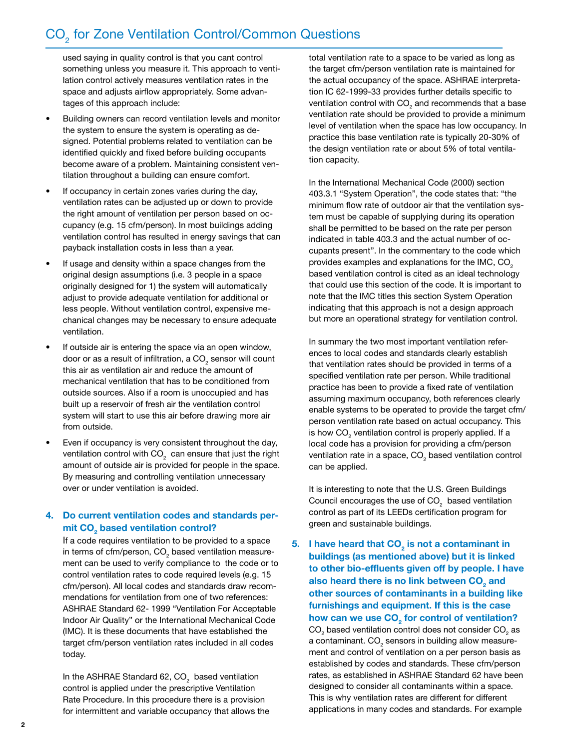### $\mathsf{CO}_2^+$  for Zone Ventilation Control/Common Questions

used saying in quality control is that you cant control something unless you measure it. This approach to ventilation control actively measures ventilation rates in the space and adjusts airflow appropriately. Some advantages of this approach include:

- Building owners can record ventilation levels and monitor the system to ensure the system is operating as designed. Potential problems related to ventilation can be identified quickly and fixed before building occupants become aware of a problem. Maintaining consistent ventilation throughout a building can ensure comfort.
- If occupancy in certain zones varies during the day, ventilation rates can be adjusted up or down to provide the right amount of ventilation per person based on occupancy (e.g. 15 cfm/person). In most buildings adding ventilation control has resulted in energy savings that can payback installation costs in less than a year.
- If usage and density within a space changes from the original design assumptions (i.e. 3 people in a space originally designed for 1) the system will automatically adjust to provide adequate ventilation for additional or less people. Without ventilation control, expensive mechanical changes may be necessary to ensure adequate ventilation.
- If outside air is entering the space via an open window, door or as a result of infiltration, a CO $_{\tiny 2}$  sensor will count this air as ventilation air and reduce the amount of mechanical ventilation that has to be conditioned from outside sources. Also if a room is unoccupied and has built up a reservoir of fresh air the ventilation control system will start to use this air before drawing more air from outside.
- Even if occupancy is very consistent throughout the day, ventilation control with CO $_{_2}$  can ensure that just the right amount of outside air is provided for people in the space. By measuring and controlling ventilation unnecessary over or under ventilation is avoided.

#### **4. Do current ventilation codes and standards per**mit CO<sub>2</sub> based ventilation control?

If a code requires ventilation to be provided to a space in terms of cfm/person, CO $_{\rm 2}$  based ventilation measurement can be used to verify compliance to the code or to control ventilation rates to code required levels (e.g. 15 cfm/person). All local codes and standards draw recommendations for ventilation from one of two references: ASHRAE Standard 62- 1999 "Ventilation For Acceptable Indoor Air Quality" or the International Mechanical Code (IMC). It is these documents that have established the target cfm/person ventilation rates included in all codes today.

In the ASHRAE Standard 62, CO<sub>2</sub> based ventilation control is applied under the prescriptive Ventilation Rate Procedure. In this procedure there is a provision for intermittent and variable occupancy that allows the total ventilation rate to a space to be varied as long as the target cfm/person ventilation rate is maintained for the actual occupancy of the space. ASHRAE interpretation IC 62-1999-33 provides further details specific to ventilation control with CO $_{_2}$  and recommends that a base ventilation rate should be provided to provide a minimum level of ventilation when the space has low occupancy. In practice this base ventilation rate is typically 20-30% of the design ventilation rate or about 5% of total ventilation capacity.

In the International Mechanical Code (2000) section 403.3.1 "System Operation", the code states that: "the minimum flow rate of outdoor air that the ventilation system must be capable of supplying during its operation shall be permitted to be based on the rate per person indicated in table 403.3 and the actual number of occupants present". In the commentary to the code which provides examples and explanations for the IMC, CO<sub>2</sub> based ventilation control is cited as an ideal technology that could use this section of the code. It is important to note that the IMC titles this section System Operation indicating that this approach is not a design approach but more an operational strategy for ventilation control.

In summary the two most important ventilation references to local codes and standards clearly establish that ventilation rates should be provided in terms of a specified ventilation rate per person. While traditional practice has been to provide a fixed rate of ventilation assuming maximum occupancy, both references clearly enable systems to be operated to provide the target cfm/ person ventilation rate based on actual occupancy. This is how CO $_{\textrm{\tiny{2}}}$  ventilation control is properly applied. If a local code has a provision for providing a cfm/person ventilation rate in a space, CO $_{_2}$  based ventilation control can be applied.

It is interesting to note that the U.S. Green Buildings Council encourages the use of CO<sub>2</sub> based ventilation control as part of its LEEDs certification program for green and sustainable buildings.

**5.** I have heard that CO<sub>2</sub> is not a contaminant in **buildings (as mentioned above) but it is linked to other bio-effluents given off by people. I have**  also heard there is no link between CO<sub>2</sub> and **other sources of contaminants in a building like furnishings and equipment. If this is the case**  how can we use CO<sub>2</sub> for control of ventilation? CO $_{\tiny 2}$  based ventilation control does not consider CO $_{\tiny 2}$  as a contaminant. CO $_{\tiny 2}$  sensors in building allow measurement and control of ventilation on a per person basis as established by codes and standards. These cfm/person rates, as established in ASHRAE Standard 62 have been designed to consider all contaminants within a space. This is why ventilation rates are different for different applications in many codes and standards. For example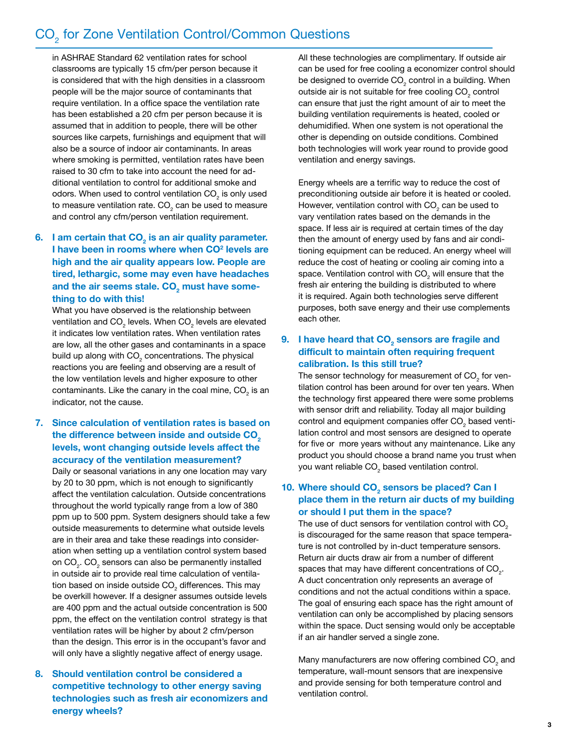in ASHRAE Standard 62 ventilation rates for school classrooms are typically 15 cfm/per person because it is considered that with the high densities in a classroom people will be the major source of contaminants that require ventilation. In a office space the ventilation rate has been established a 20 cfm per person because it is assumed that in addition to people, there will be other sources like carpets, furnishings and equipment that will also be a source of indoor air contaminants. In areas where smoking is permitted, ventilation rates have been raised to 30 cfm to take into account the need for additional ventilation to control for additional smoke and odors. When used to control ventilation CO $_{\textrm{\tiny{2}}}$  is only used to measure ventilation rate. CO $_{\textrm{\tiny{2}}}$  can be used to measure and control any cfm/person ventilation requirement.

#### **6.** I am certain that CO<sub>2</sub> is an air quality parameter. I have been in rooms where when CO<sup>2</sup> levels are **high and the air quality appears low. People are tired, lethargic, some may even have headaches**  and the air seems stale. CO<sub>2</sub> must have some**thing to do with this!**

What you have observed is the relationship between ventilation and CO $_{_2}$  levels. When CO $_{_2}$  levels are elevated it indicates low ventilation rates. When ventilation rates are low, all the other gases and contaminants in a space build up along with CO $_{\tiny 2}$  concentrations. The physical reactions you are feeling and observing are a result of the low ventilation levels and higher exposure to other contaminants. Like the canary in the coal mine, CO<sub>2</sub> is an indicator, not the cause.

#### **7. Since calculation of ventilation rates is based on**  the difference between inside and outside CO<sub>2</sub> **levels, wont changing outside levels affect the accuracy of the ventilation measurement?**

Daily or seasonal variations in any one location may vary by 20 to 30 ppm, which is not enough to significantly affect the ventilation calculation. Outside concentrations throughout the world typically range from a low of 380 ppm up to 500 ppm. System designers should take a few outside measurements to determine what outside levels are in their area and take these readings into consideration when setting up a ventilation control system based on CO<sub>2</sub>. CO<sub>2</sub> sensors can also be permanently installed in outside air to provide real time calculation of ventilation based on inside outside CO $_{\tiny 2}$  differences. This may be overkill however. If a designer assumes outside levels are 400 ppm and the actual outside concentration is 500 ppm, the effect on the ventilation control strategy is that ventilation rates will be higher by about 2 cfm/person than the design. This error is in the occupant's favor and will only have a slightly negative affect of energy usage.

**8. Should ventilation control be considered a competitive technology to other energy saving technologies such as fresh air economizers and energy wheels?**

All these technologies are complimentary. If outside air can be used for free cooling a economizer control should be designed to override CO $_{\textrm{\tiny{2}}}$  control in a building. When outside air is not suitable for free cooling CO $_{\tiny 2}$  control can ensure that just the right amount of air to meet the building ventilation requirements is heated, cooled or dehumidified. When one system is not operational the other is depending on outside conditions. Combined both technologies will work year round to provide good ventilation and energy savings.

Energy wheels are a terrific way to reduce the cost of preconditioning outside air before it is heated or cooled. However, ventilation control with CO $_{_2}$  can be used to vary ventilation rates based on the demands in the space. If less air is required at certain times of the day then the amount of energy used by fans and air conditioning equipment can be reduced. An energy wheel will reduce the cost of heating or cooling air coming into a space. Ventilation control with CO $_{_2}$  will ensure that the fresh air entering the building is distributed to where it is required. Again both technologies serve different purposes, both save energy and their use complements each other.

#### **9.** I have heard that CO<sub>2</sub> sensors are fragile and **difficult to maintain often requiring frequent calibration. Is this still true?**

The sensor technology for measurement of CO $_{\tiny 2}$  for ventilation control has been around for over ten years. When the technology first appeared there were some problems with sensor drift and reliability. Today all major building control and equipment companies offer CO $_{\textrm{\tiny{2}}}$  based ventilation control and most sensors are designed to operate for five or more years without any maintenance. Like any product you should choose a brand name you trust when you want reliable CO $_{\textrm{\tiny{2}}}$  based ventilation control.

#### 10. Where should CO<sub>2</sub> sensors be placed? Can I **place them in the return air ducts of my building or should I put them in the space?**

The use of duct sensors for ventilation control with CO<sub>2</sub> is discouraged for the same reason that space temperature is not controlled by in-duct temperature sensors. Return air ducts draw air from a number of different spaces that may have different concentrations of CO<sub>2</sub>. A duct concentration only represents an average of conditions and not the actual conditions within a space. The goal of ensuring each space has the right amount of ventilation can only be accomplished by placing sensors within the space. Duct sensing would only be acceptable if an air handler served a single zone.

Many manufacturers are now offering combined CO<sub>2</sub> and temperature, wall-mount sensors that are inexpensive and provide sensing for both temperature control and ventilation control.